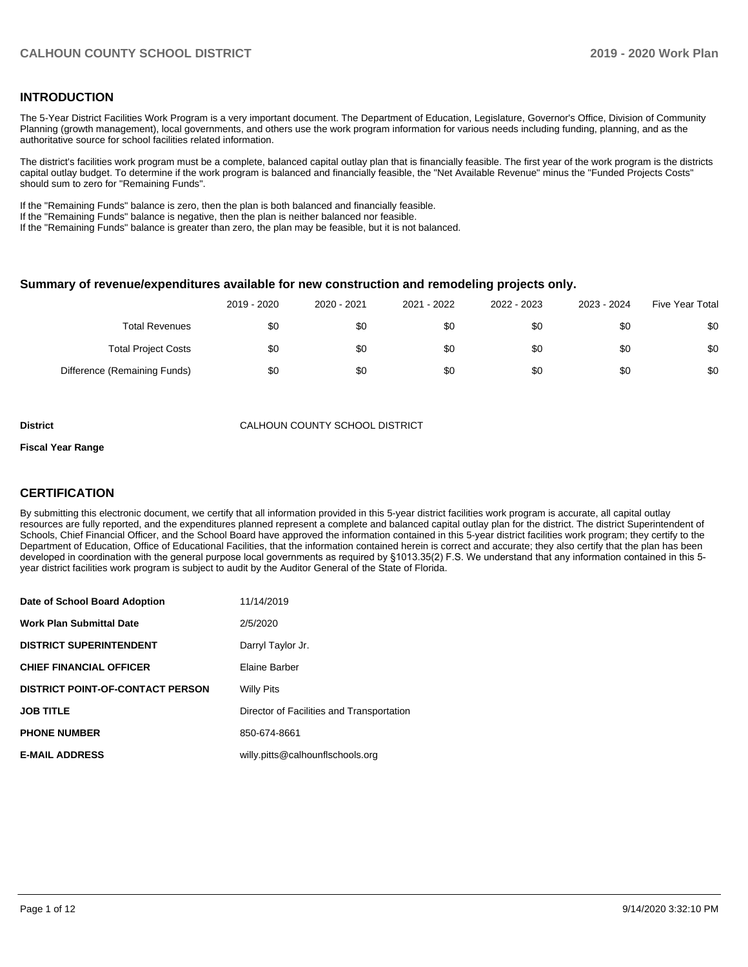#### **INTRODUCTION**

The 5-Year District Facilities Work Program is a very important document. The Department of Education, Legislature, Governor's Office, Division of Community Planning (growth management), local governments, and others use the work program information for various needs including funding, planning, and as the authoritative source for school facilities related information.

The district's facilities work program must be a complete, balanced capital outlay plan that is financially feasible. The first year of the work program is the districts capital outlay budget. To determine if the work program is balanced and financially feasible, the "Net Available Revenue" minus the "Funded Projects Costs" should sum to zero for "Remaining Funds".

If the "Remaining Funds" balance is zero, then the plan is both balanced and financially feasible.

If the "Remaining Funds" balance is negative, then the plan is neither balanced nor feasible.

If the "Remaining Funds" balance is greater than zero, the plan may be feasible, but it is not balanced.

#### **Summary of revenue/expenditures available for new construction and remodeling projects only.**

|                              | 2019 - 2020 | 2020 - 2021 | 2021 - 2022 | 2022 - 2023 | 2023 - 2024 | <b>Five Year Total</b> |
|------------------------------|-------------|-------------|-------------|-------------|-------------|------------------------|
| Total Revenues               | \$0         | \$0         | \$0         | \$0         | \$0         | \$0                    |
| <b>Total Project Costs</b>   | \$0         | \$0         | \$0         | \$0         | \$0         | \$0                    |
| Difference (Remaining Funds) | \$0         | \$0         | \$0         | \$0         | \$0         | \$0                    |

**District** CALHOUN COUNTY SCHOOL DISTRICT

#### **Fiscal Year Range**

#### **CERTIFICATION**

By submitting this electronic document, we certify that all information provided in this 5-year district facilities work program is accurate, all capital outlay resources are fully reported, and the expenditures planned represent a complete and balanced capital outlay plan for the district. The district Superintendent of Schools, Chief Financial Officer, and the School Board have approved the information contained in this 5-year district facilities work program; they certify to the Department of Education, Office of Educational Facilities, that the information contained herein is correct and accurate; they also certify that the plan has been developed in coordination with the general purpose local governments as required by §1013.35(2) F.S. We understand that any information contained in this 5 year district facilities work program is subject to audit by the Auditor General of the State of Florida.

| Date of School Board Adoption           | 11/14/2019                                |
|-----------------------------------------|-------------------------------------------|
| <b>Work Plan Submittal Date</b>         | 2/5/2020                                  |
| <b>DISTRICT SUPERINTENDENT</b>          | Darryl Taylor Jr.                         |
| <b>CHIEF FINANCIAL OFFICER</b>          | Elaine Barber                             |
| <b>DISTRICT POINT-OF-CONTACT PERSON</b> | <b>Willy Pits</b>                         |
| <b>JOB TITLE</b>                        | Director of Facilities and Transportation |
| <b>PHONE NUMBER</b>                     | 850-674-8661                              |
| <b>E-MAIL ADDRESS</b>                   | willy.pitts@calhounflschools.org          |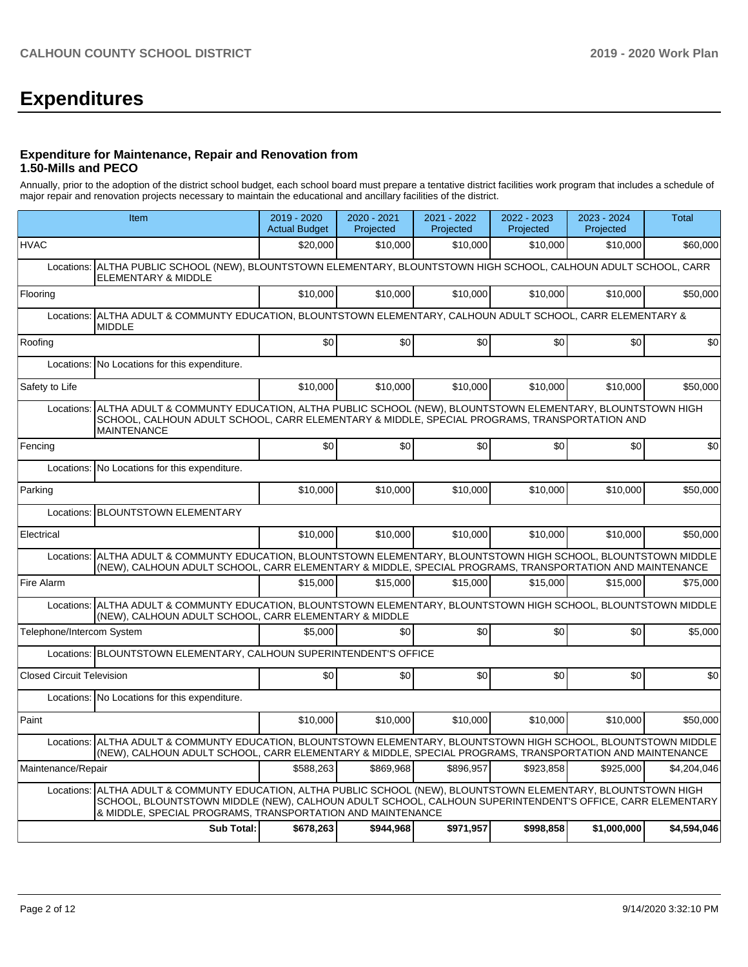# **Expenditures**

#### **Expenditure for Maintenance, Repair and Renovation from 1.50-Mills and PECO**

Annually, prior to the adoption of the district school budget, each school board must prepare a tentative district facilities work program that includes a schedule of major repair and renovation projects necessary to maintain the educational and ancillary facilities of the district.

|                                  | Item                                                                                                                                                                                                                                                                            | 2019 - 2020<br><b>Actual Budget</b>                                                               | 2020 - 2021<br>Projected | 2021 - 2022<br>Projected | 2022 - 2023<br>Projected | 2023 - 2024<br>Projected | <b>Total</b> |  |  |  |  |
|----------------------------------|---------------------------------------------------------------------------------------------------------------------------------------------------------------------------------------------------------------------------------------------------------------------------------|---------------------------------------------------------------------------------------------------|--------------------------|--------------------------|--------------------------|--------------------------|--------------|--|--|--|--|
| <b>HVAC</b>                      |                                                                                                                                                                                                                                                                                 | \$20,000                                                                                          | \$10,000                 | \$10,000                 | \$10,000                 | \$10,000                 | \$60,000     |  |  |  |  |
| Locations:                       | ALTHA PUBLIC SCHOOL (NEW), BLOUNTSTOWN ELEMENTARY, BLOUNTSTOWN HIGH SCHOOL, CALHOUN ADULT SCHOOL, CARR<br><b>ELEMENTARY &amp; MIDDLE</b>                                                                                                                                        |                                                                                                   |                          |                          |                          |                          |              |  |  |  |  |
| Flooring                         |                                                                                                                                                                                                                                                                                 | \$10,000                                                                                          | \$10,000                 | \$10,000                 | \$10,000                 | \$10,000                 | \$50,000     |  |  |  |  |
| Locations:                       | <b>MIDDLE</b>                                                                                                                                                                                                                                                                   | ALTHA ADULT & COMMUNTY EDUCATION, BLOUNTSTOWN ELEMENTARY, CALHOUN ADULT SCHOOL, CARR ELEMENTARY & |                          |                          |                          |                          |              |  |  |  |  |
| Roofing                          |                                                                                                                                                                                                                                                                                 | \$0                                                                                               | \$0                      | \$0                      | \$0                      | \$0                      | \$0          |  |  |  |  |
| Locations:                       | No Locations for this expenditure.                                                                                                                                                                                                                                              |                                                                                                   |                          |                          |                          |                          |              |  |  |  |  |
| Safety to Life                   |                                                                                                                                                                                                                                                                                 | \$10,000                                                                                          | \$10,000                 | \$10,000                 | \$10,000                 | \$10,000                 | \$50,000     |  |  |  |  |
| Locations:                       | ALTHA ADULT & COMMUNTY EDUCATION, ALTHA PUBLIC SCHOOL (NEW), BLOUNTSTOWN ELEMENTARY, BLOUNTSTOWN HIGH<br>SCHOOL, CALHOUN ADULT SCHOOL, CARR ELEMENTARY & MIDDLE, SPECIAL PROGRAMS, TRANSPORTATION AND<br><b>MAINTENANCE</b>                                                     |                                                                                                   |                          |                          |                          |                          |              |  |  |  |  |
| Fencing                          |                                                                                                                                                                                                                                                                                 | \$0                                                                                               | \$0                      | \$0                      | \$0                      | \$0                      | \$0          |  |  |  |  |
| Locations:                       | No Locations for this expenditure.                                                                                                                                                                                                                                              |                                                                                                   |                          |                          |                          |                          |              |  |  |  |  |
| Parking                          |                                                                                                                                                                                                                                                                                 | \$10,000                                                                                          | \$10,000                 | \$10,000                 | \$10,000                 | \$10,000                 | \$50,000     |  |  |  |  |
| Locations:                       | <b>BLOUNTSTOWN ELEMENTARY</b>                                                                                                                                                                                                                                                   |                                                                                                   |                          |                          |                          |                          |              |  |  |  |  |
| Electrical                       |                                                                                                                                                                                                                                                                                 | \$10,000                                                                                          | \$10,000                 | \$10,000                 | \$10,000                 | \$10,000                 | \$50,000     |  |  |  |  |
| Locations:                       | ALTHA ADULT & COMMUNTY EDUCATION. BLOUNTSTOWN ELEMENTARY. BLOUNTSTOWN HIGH SCHOOL. BLOUNTSTOWN MIDDLE<br>(NEW), CALHOUN ADULT SCHOOL, CARR ELEMENTARY & MIDDLE, SPECIAL PROGRAMS, TRANSPORTATION AND MAINTENANCE                                                                |                                                                                                   |                          |                          |                          |                          |              |  |  |  |  |
| Fire Alarm                       |                                                                                                                                                                                                                                                                                 | \$15,000                                                                                          | \$15,000                 | \$15,000                 | \$15,000                 | \$15,000                 | \$75,000     |  |  |  |  |
|                                  | Locations: ALTHA ADULT & COMMUNTY EDUCATION, BLOUNTSTOWN ELEMENTARY, BLOUNTSTOWN HIGH SCHOOL, BLOUNTSTOWN MIDDLE<br>(NEW), CALHOUN ADULT SCHOOL, CARR ELEMENTARY & MIDDLE                                                                                                       |                                                                                                   |                          |                          |                          |                          |              |  |  |  |  |
| Telephone/Intercom System        |                                                                                                                                                                                                                                                                                 | \$5,000                                                                                           | \$0                      | \$0                      | \$0                      | \$0                      | \$5,000      |  |  |  |  |
|                                  | Locations: BLOUNTSTOWN ELEMENTARY, CALHOUN SUPERINTENDENT'S OFFICE                                                                                                                                                                                                              |                                                                                                   |                          |                          |                          |                          |              |  |  |  |  |
| <b>Closed Circuit Television</b> |                                                                                                                                                                                                                                                                                 | \$0 <sub>1</sub>                                                                                  | \$0                      | \$0                      | \$0                      | \$0 <sub>1</sub>         | \$0          |  |  |  |  |
|                                  | Locations: No Locations for this expenditure.                                                                                                                                                                                                                                   |                                                                                                   |                          |                          |                          |                          |              |  |  |  |  |
| Paint                            |                                                                                                                                                                                                                                                                                 | \$10,000                                                                                          | \$10,000                 | \$10,000                 | \$10,000                 | \$10,000                 | \$50,000     |  |  |  |  |
| Locations:                       | ALTHA ADULT & COMMUNTY EDUCATION, BLOUNTSTOWN ELEMENTARY, BLOUNTSTOWN HIGH SCHOOL, BLOUNTSTOWN MIDDLE<br>(NEW), CALHOUN ADULT SCHOOL, CARR ELEMENTARY & MIDDLE, SPECIAL PROGRAMS, TRANSPORTATION AND MAINTENANCE                                                                |                                                                                                   |                          |                          |                          |                          |              |  |  |  |  |
| Maintenance/Repair               |                                                                                                                                                                                                                                                                                 | \$588,263                                                                                         | \$869.968                | \$896,957                | \$923,858                | \$925,000                | \$4,204,046  |  |  |  |  |
| Locations:                       | ALTHA ADULT & COMMUNTY EDUCATION, ALTHA PUBLIC SCHOOL (NEW), BLOUNTSTOWN ELEMENTARY, BLOUNTSTOWN HIGH<br>SCHOOL, BLOUNTSTOWN MIDDLE (NEW), CALHOUN ADULT SCHOOL, CALHOUN SUPERINTENDENT'S OFFICE, CARR ELEMENTARY<br>& MIDDLE, SPECIAL PROGRAMS, TRANSPORTATION AND MAINTENANCE |                                                                                                   |                          |                          |                          |                          |              |  |  |  |  |
|                                  | <b>Sub Total:</b>                                                                                                                                                                                                                                                               | \$678,263                                                                                         | \$944,968                | \$971,957                | \$998,858                | \$1,000,000              | \$4,594,046  |  |  |  |  |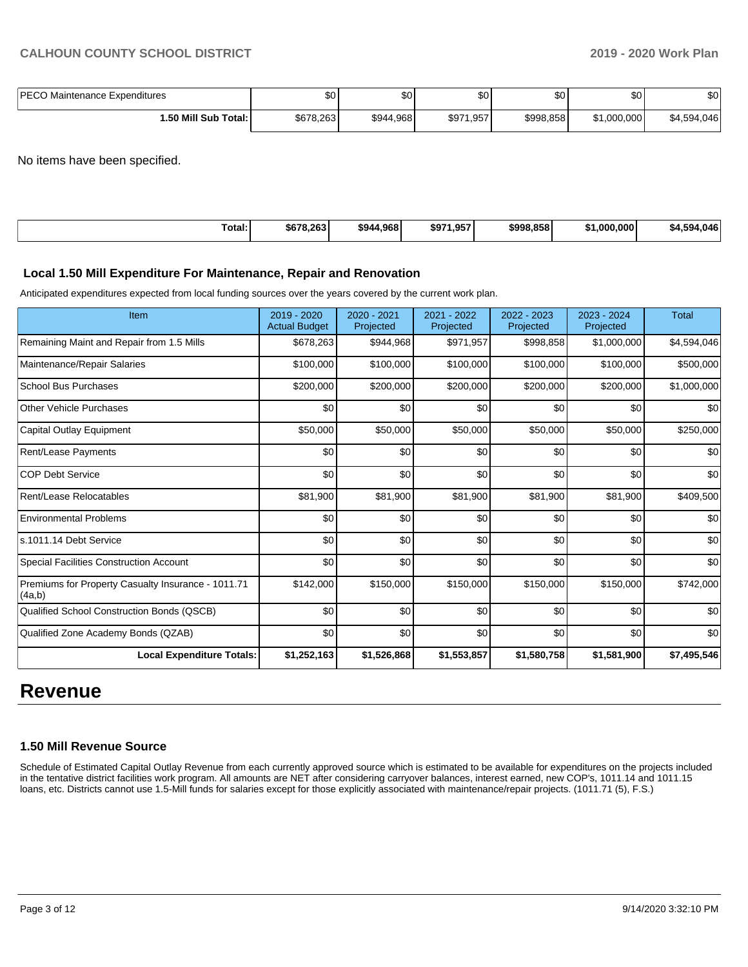| <b>IPECO</b>             | ሶሳ        | $\sim$    | $\sim$         | $\sim$    | \$0         | ሮስ'              |
|--------------------------|-----------|-----------|----------------|-----------|-------------|------------------|
| Maintenance Expenditures | טע-       | Ψ         | ΦU             | w         |             | ו שפ             |
| 1.50 Mill Sub Total:     | \$678.263 | \$944,968 | 1,957<br>\$971 | \$998.858 | \$1,000,000 | 4.046<br>\$4.594 |

No items have been specified.

| Total:<br>. | \$678.263 | 4.968<br>\$944 | 1.057<br>\$97<br>1.99 | \$998.858 | ا000.000. . | .046<br>504<br>- 11 6 |
|-------------|-----------|----------------|-----------------------|-----------|-------------|-----------------------|
|             |           |                |                       |           |             |                       |

#### **Local 1.50 Mill Expenditure For Maintenance, Repair and Renovation**

Anticipated expenditures expected from local funding sources over the years covered by the current work plan.

| Item                                                         | 2019 - 2020<br><b>Actual Budget</b> | 2020 - 2021<br>Projected | 2021 - 2022<br>Projected | 2022 - 2023<br>Projected | 2023 - 2024<br>Projected | <b>Total</b> |
|--------------------------------------------------------------|-------------------------------------|--------------------------|--------------------------|--------------------------|--------------------------|--------------|
| Remaining Maint and Repair from 1.5 Mills                    | \$678,263                           | \$944,968                | \$971,957                | \$998,858                | \$1,000,000              | \$4,594,046  |
| Maintenance/Repair Salaries                                  | \$100,000                           | \$100,000                | \$100,000                | \$100,000                | \$100,000                | \$500,000    |
| <b>School Bus Purchases</b>                                  | \$200,000                           | \$200,000                | \$200,000                | \$200,000                | \$200,000                | \$1,000,000  |
| Other Vehicle Purchases                                      | \$0                                 | \$0                      | \$0                      | \$0                      | \$0                      | \$0          |
| Capital Outlay Equipment                                     | \$50,000                            | \$50,000                 | \$50,000                 | \$50,000                 | \$50,000                 | \$250,000    |
| Rent/Lease Payments                                          | \$0                                 | \$0                      | \$0                      | \$0                      | \$0                      | \$0          |
| <b>COP Debt Service</b>                                      | \$0                                 | \$0                      | \$0                      | \$0                      | \$0                      | \$0          |
| Rent/Lease Relocatables                                      | \$81,900                            | \$81,900                 | \$81,900                 | \$81,900                 | \$81,900                 | \$409,500    |
| <b>Environmental Problems</b>                                | \$0                                 | \$0                      | \$0                      | \$0                      | \$0                      | \$0          |
| ls.1011.14 Debt Service                                      | \$0                                 | \$0                      | \$0                      | \$0                      | \$0                      | \$0          |
| <b>Special Facilities Construction Account</b>               | \$0                                 | \$0                      | \$0                      | \$0                      | \$0                      | \$0          |
| Premiums for Property Casualty Insurance - 1011.71<br>(4a,b) | \$142,000                           | \$150,000                | \$150,000                | \$150,000                | \$150,000                | \$742,000    |
| Qualified School Construction Bonds (QSCB)                   | \$0                                 | \$0                      | \$0                      | \$0                      | \$0                      | \$0          |
| Qualified Zone Academy Bonds (QZAB)                          | \$0                                 | \$0                      | \$0                      | \$0                      | \$0                      | \$0          |
| <b>Local Expenditure Totals:</b>                             | \$1,252,163                         | \$1,526,868              | \$1,553,857              | \$1,580,758              | \$1,581,900              | \$7,495,546  |

# **Revenue**

#### **1.50 Mill Revenue Source**

Schedule of Estimated Capital Outlay Revenue from each currently approved source which is estimated to be available for expenditures on the projects included in the tentative district facilities work program. All amounts are NET after considering carryover balances, interest earned, new COP's, 1011.14 and 1011.15 loans, etc. Districts cannot use 1.5-Mill funds for salaries except for those explicitly associated with maintenance/repair projects. (1011.71 (5), F.S.)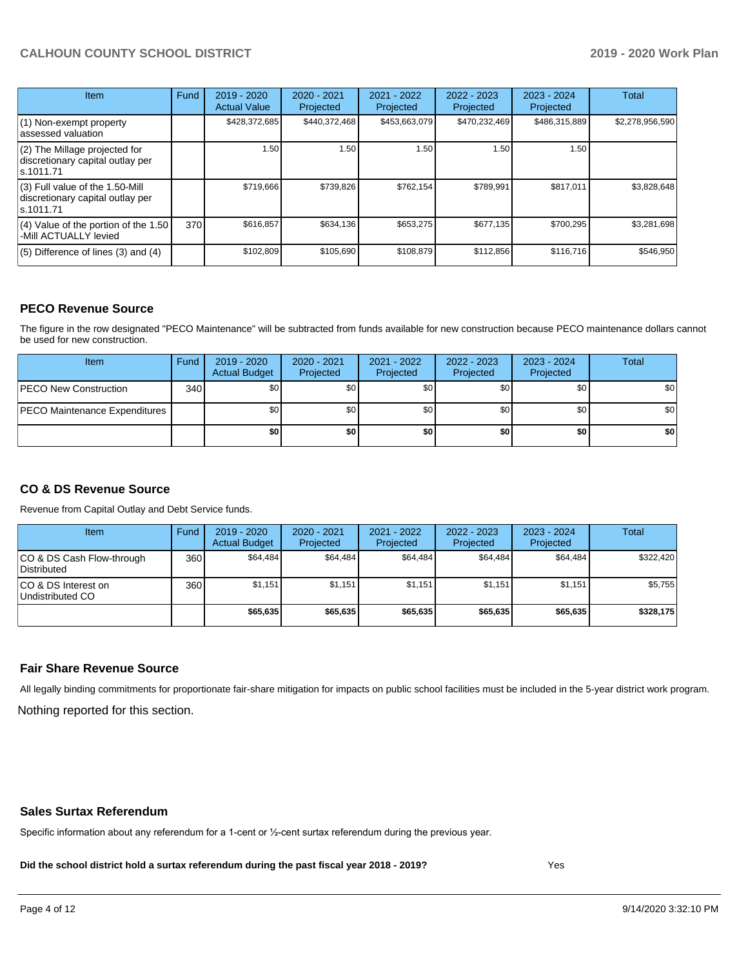| Item                                                                                | Fund | $2019 - 2020$<br><b>Actual Value</b> | $2020 - 2021$<br>Projected | $2021 - 2022$<br>Projected | 2022 - 2023<br>Projected | $2023 - 2024$<br>Projected | Total           |
|-------------------------------------------------------------------------------------|------|--------------------------------------|----------------------------|----------------------------|--------------------------|----------------------------|-----------------|
| (1) Non-exempt property<br>lassessed valuation                                      |      | \$428,372,685                        | \$440,372,468              | \$453,663,079              | \$470,232,469            | \$486,315,889              | \$2,278,956,590 |
| $(2)$ The Millage projected for<br>discretionary capital outlay per<br>ls.1011.71   |      | 1.50                                 | 1.50                       | 1.50                       | 1.50                     | 1.50                       |                 |
| $(3)$ Full value of the 1.50-Mill<br>discretionary capital outlay per<br>ls.1011.71 |      | \$719,666                            | \$739,826                  | \$762.154                  | \$789,991                | \$817,011                  | \$3,828,648     |
| $(4)$ Value of the portion of the 1.50<br>-Mill ACTUALLY levied                     | 370I | \$616,857                            | \$634,136                  | \$653,275                  | \$677,135                | \$700,295                  | \$3,281,698     |
| $(5)$ Difference of lines (3) and (4)                                               |      | \$102,809                            | \$105,690                  | \$108,879                  | \$112,856                | \$116,716                  | \$546,950       |

#### **PECO Revenue Source**

The figure in the row designated "PECO Maintenance" will be subtracted from funds available for new construction because PECO maintenance dollars cannot be used for new construction.

| Item                                 | Fund | 2019 - 2020<br><b>Actual Budget</b> | 2020 - 2021<br>Projected | 2021 - 2022<br>Projected | $2022 - 2023$<br>Projected | 2023 - 2024<br>Projected | Total            |
|--------------------------------------|------|-------------------------------------|--------------------------|--------------------------|----------------------------|--------------------------|------------------|
| <b>PECO New Construction</b>         | 340  | \$0                                 | \$0 <sub>1</sub>         | \$0                      | \$0 <sub>0</sub>           | \$0 <sub>1</sub>         | \$0 <sub>1</sub> |
| <b>PECO Maintenance Expenditures</b> |      | ا 30                                | \$٥١                     | \$0                      | \$0 <sub>1</sub>           | \$0                      | \$0              |
|                                      |      | \$0                                 | \$0                      | \$0                      | \$0                        | \$0                      | \$0              |

### **CO & DS Revenue Source**

Revenue from Capital Outlay and Debt Service funds.

| <b>Item</b>                               | Fund | $2019 - 2020$<br><b>Actual Budget</b> | 2020 - 2021<br>Projected | 2021 - 2022<br>Projected | $2022 - 2023$<br>Projected | $2023 - 2024$<br>Projected | Total     |
|-------------------------------------------|------|---------------------------------------|--------------------------|--------------------------|----------------------------|----------------------------|-----------|
| ICO & DS Cash Flow-through<br>Distributed | 360  | \$64.484                              | \$64.484                 | \$64.484                 | \$64.484                   | \$64,484                   | \$322,420 |
| ICO & DS Interest on<br>Undistributed CO  | 360  | \$1.151                               | \$1.151                  | \$1.151                  | \$1.151                    | \$1.151                    | \$5,755   |
|                                           |      | \$65,635                              | \$65,635                 | \$65,635                 | \$65,635                   | \$65,635                   | \$328,175 |

#### **Fair Share Revenue Source**

Nothing reported for this section. All legally binding commitments for proportionate fair-share mitigation for impacts on public school facilities must be included in the 5-year district work program.

#### **Sales Surtax Referendum**

Specific information about any referendum for a 1-cent or ½-cent surtax referendum during the previous year.

**Did the school district hold a surtax referendum during the past fiscal year 2018 - 2019?**

Yes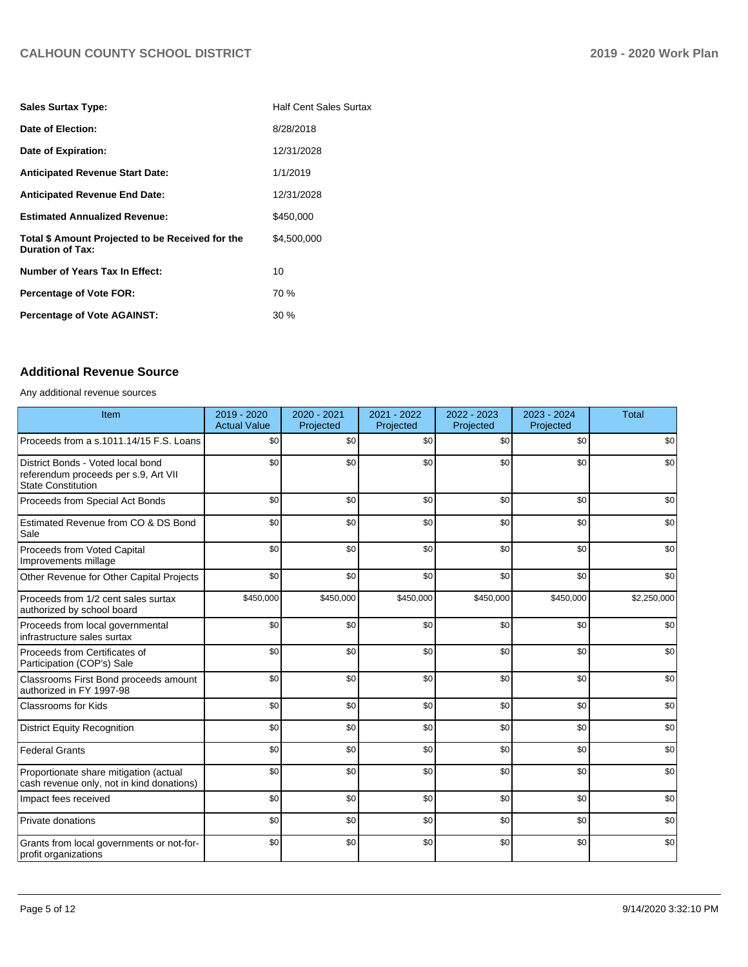| <b>Sales Surtax Type:</b>                                                   | <b>Half Cent Sales Surtax</b> |
|-----------------------------------------------------------------------------|-------------------------------|
| Date of Election:                                                           | 8/28/2018                     |
| Date of Expiration:                                                         | 12/31/2028                    |
| <b>Anticipated Revenue Start Date:</b>                                      | 1/1/2019                      |
| <b>Anticipated Revenue End Date:</b>                                        | 12/31/2028                    |
| <b>Estimated Annualized Revenue:</b>                                        | \$450.000                     |
| Total \$ Amount Projected to be Received for the<br><b>Duration of Tax:</b> | \$4,500,000                   |
| <b>Number of Years Tax In Effect:</b>                                       | 10                            |
| Percentage of Vote FOR:                                                     | 70 %                          |
| <b>Percentage of Vote AGAINST:</b>                                          | $30\%$                        |

# **Additional Revenue Source**

Any additional revenue sources

| Item                                                                                                   | 2019 - 2020<br><b>Actual Value</b> | 2020 - 2021<br>Projected | 2021 - 2022<br>Projected | 2022 - 2023<br>Projected | 2023 - 2024<br>Projected | <b>Total</b> |
|--------------------------------------------------------------------------------------------------------|------------------------------------|--------------------------|--------------------------|--------------------------|--------------------------|--------------|
| Proceeds from a s.1011.14/15 F.S. Loans                                                                | \$0                                | \$0                      | \$0                      | \$0                      | \$0                      | \$0          |
| District Bonds - Voted local bond<br>referendum proceeds per s.9, Art VII<br><b>State Constitution</b> | \$0                                | \$0                      | \$0                      | \$0                      | \$0                      | \$0          |
| Proceeds from Special Act Bonds                                                                        | \$0                                | \$0                      | \$0                      | \$0                      | \$0                      | \$0          |
| Estimated Revenue from CO & DS Bond<br>Sale                                                            | \$0                                | \$0                      | \$0                      | \$0                      | \$0                      | \$0          |
| Proceeds from Voted Capital<br>Improvements millage                                                    | \$0                                | \$0                      | \$0                      | \$0                      | \$0                      | \$0          |
| Other Revenue for Other Capital Projects                                                               | \$0                                | \$0                      | \$0                      | \$0                      | \$0                      | \$0          |
| Proceeds from 1/2 cent sales surtax<br>authorized by school board                                      | \$450,000                          | \$450,000                | \$450,000                | \$450,000                | \$450,000                | \$2,250,000  |
| Proceeds from local governmental<br>infrastructure sales surtax                                        | \$0                                | \$0                      | \$0                      | \$0                      | \$0                      | \$0          |
| Proceeds from Certificates of<br>Participation (COP's) Sale                                            | \$0                                | \$0                      | \$0                      | \$0                      | \$0                      | \$0          |
| Classrooms First Bond proceeds amount<br>authorized in FY 1997-98                                      | \$0                                | \$0                      | \$0                      | \$0                      | \$0                      | \$0          |
| Classrooms for Kids                                                                                    | \$0                                | \$0                      | \$0                      | \$0                      | \$0                      | \$0          |
| <b>District Equity Recognition</b>                                                                     | \$0                                | \$0                      | \$0                      | \$0                      | \$0                      | \$0          |
| <b>Federal Grants</b>                                                                                  | \$0                                | \$0                      | \$0                      | \$0                      | \$0                      | \$0          |
| Proportionate share mitigation (actual<br>cash revenue only, not in kind donations)                    | \$0                                | \$0                      | \$0                      | \$0                      | \$0                      | \$0          |
| Impact fees received                                                                                   | \$0                                | \$0                      | \$0                      | \$0                      | \$0                      | \$0          |
| Private donations                                                                                      | \$0                                | \$0                      | \$0                      | \$0                      | \$0                      | \$0          |
| Grants from local governments or not-for-<br>profit organizations                                      | \$0                                | \$0                      | \$0                      | \$0                      | \$0                      | \$0          |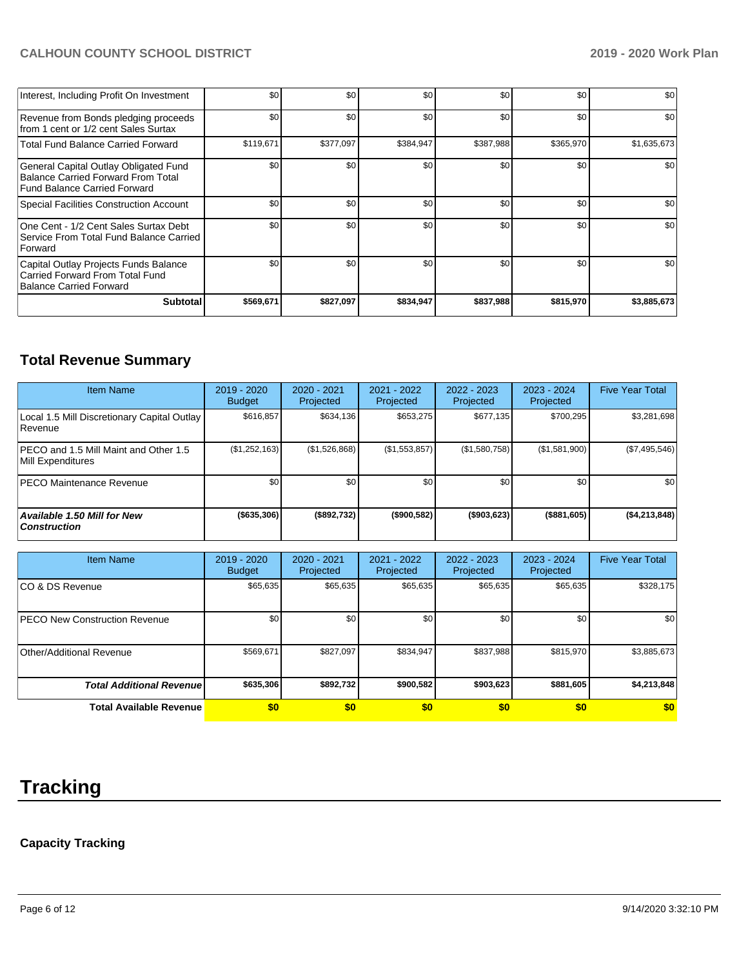| Interest, Including Profit On Investment                                                                                  | \$0              | \$0       | \$0       | \$0       | \$0       | \$0         |
|---------------------------------------------------------------------------------------------------------------------------|------------------|-----------|-----------|-----------|-----------|-------------|
| Revenue from Bonds pledging proceeds<br>from 1 cent or 1/2 cent Sales Surtax                                              | \$0              | \$0       | \$0       | \$0       | \$0       | \$0         |
| <b>Total Fund Balance Carried Forward</b>                                                                                 | \$119,671        | \$377,097 | \$384,947 | \$387,988 | \$365,970 | \$1,635,673 |
| General Capital Outlay Obligated Fund<br><b>Balance Carried Forward From Total</b><br><b>Fund Balance Carried Forward</b> | \$0              | \$0       | \$0       | \$0       | \$0       | \$0         |
| Special Facilities Construction Account                                                                                   | \$0              | \$0       | \$0       | \$0       | \$0       | \$0         |
| One Cent - 1/2 Cent Sales Surtax Debt<br>Service From Total Fund Balance Carried<br><b>Forward</b>                        | \$0 <sub>1</sub> | \$0       | \$0       | \$0       | \$0       | \$0         |
| Capital Outlay Projects Funds Balance<br>Carried Forward From Total Fund<br>Balance Carried Forward                       | \$0              | \$0       | \$0       | \$0       | \$0       | \$0         |
| <b>Subtotal</b>                                                                                                           | \$569,671        | \$827,097 | \$834,947 | \$837,988 | \$815,970 | \$3,885,673 |

# **Total Revenue Summary**

| <b>Item Name</b>                                              | $2019 - 2020$<br><b>Budget</b> | 2020 - 2021<br>Projected | 2021 - 2022<br>Projected | $2022 - 2023$<br>Projected | 2023 - 2024<br>Projected | <b>Five Year Total</b> |
|---------------------------------------------------------------|--------------------------------|--------------------------|--------------------------|----------------------------|--------------------------|------------------------|
| Local 1.5 Mill Discretionary Capital Outlay<br><b>Revenue</b> | \$616.857                      | \$634.136                | \$653.275                | \$677.135                  | \$700.295                | \$3,281,698            |
| PECO and 1.5 Mill Maint and Other 1.5<br>Mill Expenditures    | (\$1,252,163)                  | (\$1,526,868)            | (\$1,553,857)            | (\$1,580,758)              | (\$1,581,900)            | (\$7,495,546)          |
| <b>IPECO Maintenance Revenue</b>                              | \$0 <sub>1</sub>               | \$0                      | \$0                      | \$0                        | \$0                      | \$0                    |
| Available 1.50 Mill for New<br><b>Construction</b>            | ( \$635, 306)                  | (\$892,732)              | (\$900,582)              | ( \$903, 623)              | (\$881,605)              | ( \$4, 213, 848]       |

| <b>Item Name</b>                      | 2019 - 2020<br><b>Budget</b> | 2020 - 2021<br>Projected | 2021 - 2022<br>Projected | 2022 - 2023<br>Projected | 2023 - 2024<br>Projected | <b>Five Year Total</b> |
|---------------------------------------|------------------------------|--------------------------|--------------------------|--------------------------|--------------------------|------------------------|
| ICO & DS Revenue                      | \$65,635                     | \$65,635                 | \$65,635                 | \$65,635                 | \$65,635                 | \$328,175              |
| <b>IPECO New Construction Revenue</b> | \$0                          | \$0                      | \$0                      | \$0                      | \$0                      | \$0                    |
| Other/Additional Revenue              | \$569,671                    | \$827,097                | \$834,947                | \$837,988                | \$815,970                | \$3,885,673            |
| <b>Total Additional Revenuel</b>      | \$635,306                    | \$892,732                | \$900,582                | \$903,623                | \$881,605                | \$4,213,848            |
| <b>Total Available Revenue</b>        | \$0                          | \$0                      | \$0                      | \$0                      | \$0                      | \$0                    |

# **Tracking**

# **Capacity Tracking**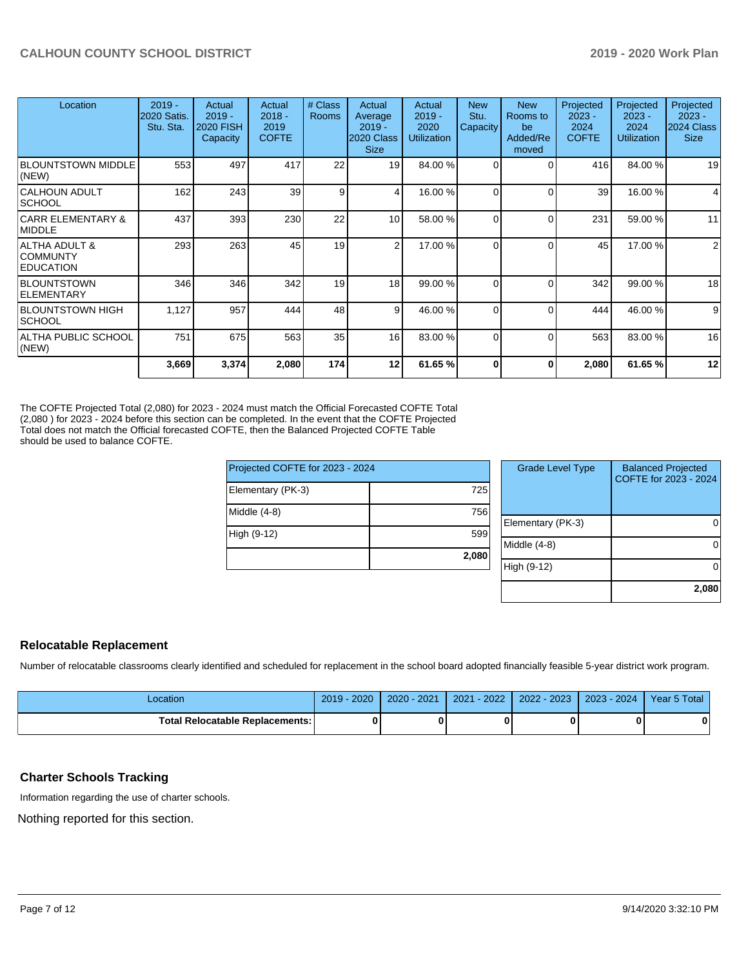| Location                                                  | $2019 -$<br>2020 Satis.<br>Stu. Sta. | Actual<br>$2019 -$<br><b>2020 FISH</b><br>Capacity | Actual<br>$2018 -$<br>2019<br><b>COFTE</b> | # Class<br><b>Rooms</b> | Actual<br>Average<br>$2019 -$<br>2020 Class<br><b>Size</b> | Actual<br>$2019 -$<br>2020<br><b>Utilization</b> | <b>New</b><br>Stu.<br>Capacity | <b>New</b><br>Rooms to<br>be<br>Added/Re<br>moved | Projected<br>$2023 -$<br>2024<br><b>COFTE</b> | Projected<br>$2023 -$<br>2024<br><b>Utilization</b> | Projected<br>$2023 -$<br>2024 Class<br><b>Size</b> |
|-----------------------------------------------------------|--------------------------------------|----------------------------------------------------|--------------------------------------------|-------------------------|------------------------------------------------------------|--------------------------------------------------|--------------------------------|---------------------------------------------------|-----------------------------------------------|-----------------------------------------------------|----------------------------------------------------|
| <b>BLOUNTSTOWN MIDDLE</b><br>(NEW)                        | 553                                  | 497                                                | 417                                        | 22                      | 19                                                         | 84.00 %                                          | 0                              | $\Omega$                                          | 416                                           | 84.00 %                                             | 19                                                 |
| CALHOUN ADULT<br><b>SCHOOL</b>                            | 162                                  | 243                                                | 39                                         | 9 <sub>l</sub>          | 4                                                          | 16.00 %                                          | 0                              | $\Omega$                                          | 39                                            | 16.00 %                                             | 4                                                  |
| <b>CARR ELEMENTARY &amp;</b><br>MIDDLE                    | 437                                  | 393                                                | 230                                        | 22                      | 10                                                         | 58.00 %                                          | 0                              | $\Omega$                                          | 231                                           | 59.00 %                                             | 11                                                 |
| <b>ALTHA ADULT &amp;</b><br> COMMUNTY<br><b>EDUCATION</b> | 293                                  | 263                                                | 45                                         | 19                      | $\overline{2}$                                             | 17.00 %                                          | 0                              | $\Omega$                                          | 45                                            | 17.00 %                                             | $\overline{2}$                                     |
| <b>BLOUNTSTOWN</b><br>ELEMENTARY                          | 346                                  | 346                                                | 342                                        | 19                      | 18                                                         | 99.00 %                                          | 0                              | $\Omega$                                          | 342                                           | 99.00 %                                             | 18                                                 |
| BLOUNTSTOWN HIGH<br><b>SCHOOL</b>                         | 1,127                                | 957                                                | 444                                        | 48                      | 9                                                          | 46.00 %                                          |                                | $\Omega$                                          | 444                                           | 46.00 %                                             | 9                                                  |
| ALTHA PUBLIC SCHOOL<br>(NEW)                              | 751                                  | 675                                                | 563                                        | 35                      | 16                                                         | 83.00 %                                          | 0                              | $\Omega$                                          | 563                                           | 83.00 %                                             | 16                                                 |
|                                                           | 3,669                                | 3,374                                              | 2,080                                      | 174                     | 12                                                         | 61.65%                                           | 0                              | 0                                                 | 2,080                                         | 61.65%                                              | 12                                                 |

The COFTE Projected Total (2,080) for 2023 - 2024 must match the Official Forecasted COFTE Total (2,080 ) for 2023 - 2024 before this section can be completed. In the event that the COFTE Projected Total does not match the Official forecasted COFTE, then the Balanced Projected COFTE Table should be used to balance COFTE.

| Projected COFTE for 2023 - 2024 |       |
|---------------------------------|-------|
| Elementary (PK-3)               | 725   |
| Middle (4-8)                    | 756   |
| High (9-12)                     | 599   |
|                                 | 2,080 |

| <b>Grade Level Type</b> | <b>Balanced Projected</b><br>COFTE for 2023 - 2024 |
|-------------------------|----------------------------------------------------|
| Elementary (PK-3)       |                                                    |
| Middle (4-8)            |                                                    |
| High (9-12)             |                                                    |
|                         | 2,080                                              |

#### **Relocatable Replacement**

Number of relocatable classrooms clearly identified and scheduled for replacement in the school board adopted financially feasible 5-year district work program.

| Location                        | $-2020$<br>$2019 -$ | $2020 - 2021$ | $2021 - 2022$ | 2022 - 2023 | $2023 - 2024$ | Year 5 Total |
|---------------------------------|---------------------|---------------|---------------|-------------|---------------|--------------|
| Total Relocatable Replacements: |                     |               |               |             |               | 0            |

#### **Charter Schools Tracking**

Information regarding the use of charter schools.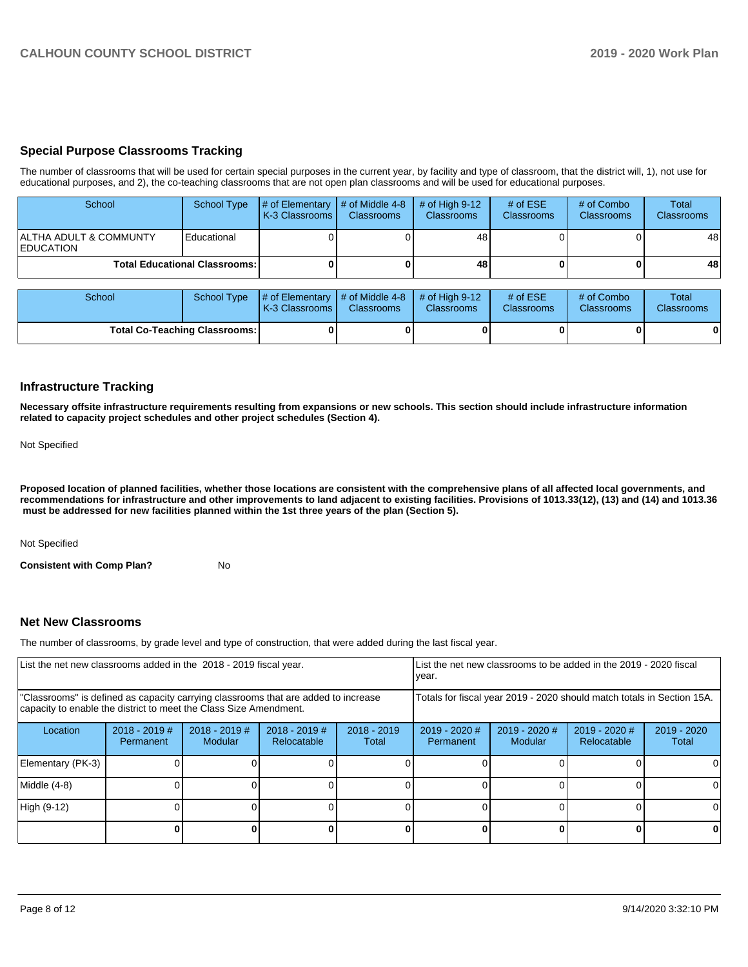#### **Special Purpose Classrooms Tracking**

The number of classrooms that will be used for certain special purposes in the current year, by facility and type of classroom, that the district will, 1), not use for educational purposes, and 2), the co-teaching classrooms that are not open plan classrooms and will be used for educational purposes.

| School                                     | School Type                            | $\parallel \#$ of Elementary $\parallel \#$ of Middle 4-8 $\parallel$<br><b>IK-3 Classrooms</b> | <b>Classrooms</b> | $\#$ of High 9-12<br><b>Classrooms</b> | # of $ESE$<br><b>Classrooms</b> | # of Combo<br><b>Classrooms</b> | <b>Total</b><br><b>Classrooms</b> |
|--------------------------------------------|----------------------------------------|-------------------------------------------------------------------------------------------------|-------------------|----------------------------------------|---------------------------------|---------------------------------|-----------------------------------|
| ALTHA ADULT & COMMUNTY<br><b>EDUCATION</b> | Educational                            |                                                                                                 |                   | 481                                    |                                 |                                 | 48                                |
|                                            | <b>Total Educational Classrooms: I</b> |                                                                                                 |                   | 48                                     |                                 |                                 | 48                                |

| School                               |  | School Type $\#$ of Elementary $\#$ of Middle 4-8 $\#$ of High 9-12<br><b>K-3 Classrooms</b> | <b>Classrooms</b> | <b>Classrooms</b> | # of $ESE$<br><b>Classrooms</b> | # of Combo<br><b>Classrooms</b> | Total<br><b>Classrooms</b> |
|--------------------------------------|--|----------------------------------------------------------------------------------------------|-------------------|-------------------|---------------------------------|---------------------------------|----------------------------|
| <b>Total Co-Teaching Classrooms:</b> |  |                                                                                              |                   |                   |                                 | 0                               | 01                         |

#### **Infrastructure Tracking**

**Necessary offsite infrastructure requirements resulting from expansions or new schools. This section should include infrastructure information related to capacity project schedules and other project schedules (Section 4).** 

Not Specified

**Proposed location of planned facilities, whether those locations are consistent with the comprehensive plans of all affected local governments, and recommendations for infrastructure and other improvements to land adjacent to existing facilities. Provisions of 1013.33(12), (13) and (14) and 1013.36 must be addressed for new facilities planned within the 1st three years of the plan (Section 5).** 

Not Specified

**Consistent with Comp Plan?** No

#### **Net New Classrooms**

The number of classrooms, by grade level and type of construction, that were added during the last fiscal year.

| List the net new classrooms added in the 2018 - 2019 fiscal year.                                                                                       |                              |                                   |                                |                                                                        | List the net new classrooms to be added in the 2019 - 2020 fiscal<br>year. |                                 |                                |                      |  |
|---------------------------------------------------------------------------------------------------------------------------------------------------------|------------------------------|-----------------------------------|--------------------------------|------------------------------------------------------------------------|----------------------------------------------------------------------------|---------------------------------|--------------------------------|----------------------|--|
| "Classrooms" is defined as capacity carrying classrooms that are added to increase<br>capacity to enable the district to meet the Class Size Amendment. |                              |                                   |                                | Totals for fiscal year 2019 - 2020 should match totals in Section 15A. |                                                                            |                                 |                                |                      |  |
| Location                                                                                                                                                | $2018 - 2019$ #<br>Permanent | $2018 - 2019$ #<br><b>Modular</b> | $2018 - 2019$ #<br>Relocatable | $2018 - 2019$<br>Total                                                 | $2019 - 2020$ #<br>Permanent                                               | 2019 - 2020 #<br><b>Modular</b> | $2019 - 2020$ #<br>Relocatable | 2019 - 2020<br>Total |  |
| Elementary (PK-3)                                                                                                                                       |                              |                                   |                                |                                                                        |                                                                            |                                 |                                |                      |  |
| Middle (4-8)                                                                                                                                            |                              |                                   |                                |                                                                        |                                                                            |                                 |                                | 0                    |  |
| High (9-12)                                                                                                                                             |                              |                                   |                                |                                                                        |                                                                            |                                 |                                |                      |  |
|                                                                                                                                                         |                              |                                   |                                |                                                                        |                                                                            |                                 |                                | 0                    |  |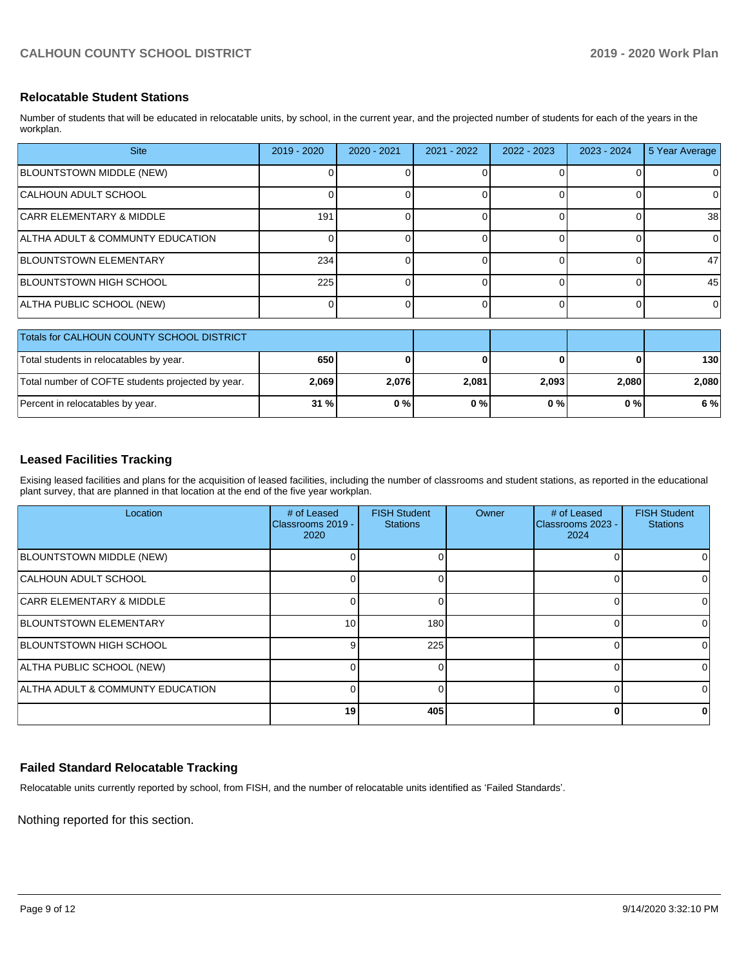## **Relocatable Student Stations**

Number of students that will be educated in relocatable units, by school, in the current year, and the projected number of students for each of the years in the workplan.

| <b>Site</b>                                       | $2019 - 2020$ | $2020 - 2021$ | 2021 - 2022 | 2022 - 2023 | $2023 - 2024$ | 5 Year Average |
|---------------------------------------------------|---------------|---------------|-------------|-------------|---------------|----------------|
| BLOUNTSTOWN MIDDLE (NEW)                          |               |               |             |             |               | 0              |
| CALHOUN ADULT SCHOOL                              |               |               |             | 0           | $\Omega$      | 0              |
| <b>CARR ELEMENTARY &amp; MIDDLE</b>               | 191           |               |             |             | 0             | 38             |
| ALTHA ADULT & COMMUNTY EDUCATION                  |               |               |             |             | ი             | $\Omega$       |
| <b>BLOUNTSTOWN ELEMENTARY</b>                     | 234           |               |             | $\Omega$    | $\Omega$      | 47             |
| <b>BLOUNTSTOWN HIGH SCHOOL</b>                    | 225           |               |             | $\Omega$    | 0             | 45             |
| ALTHA PUBLIC SCHOOL (NEW)                         | 0             |               | 0           | $\Omega$    | 0             | $\Omega$       |
| Totals for CALHOUN COUNTY SCHOOL DISTRICT         |               |               |             |             |               |                |
| Total students in relocatables by year.           | 650           |               |             | O           | O             | 130            |
| Total number of COFTE students projected by year. | 2,069         | 2,076         | 2,081       | 2,093       | 2,080         | 2,080          |
| Percent in relocatables by year.                  | 31 %          | 0%            | 0%          | 0%          | 0%            | 6%             |

## **Leased Facilities Tracking**

Exising leased facilities and plans for the acquisition of leased facilities, including the number of classrooms and student stations, as reported in the educational plant survey, that are planned in that location at the end of the five year workplan.

| Location                            | # of Leased<br>Classrooms 2019 -<br>2020 | <b>FISH Student</b><br><b>Stations</b> | Owner | # of Leased<br>Classrooms 2023 -<br>2024 | <b>FISH Student</b><br><b>Stations</b> |
|-------------------------------------|------------------------------------------|----------------------------------------|-------|------------------------------------------|----------------------------------------|
| BLOUNTSTOWN MIDDLE (NEW)            |                                          |                                        |       |                                          | 0                                      |
| CALHOUN ADULT SCHOOL                |                                          |                                        |       | ŋ                                        | 0                                      |
| <b>CARR ELEMENTARY &amp; MIDDLE</b> |                                          |                                        |       |                                          | 0                                      |
| <b>BLOUNTSTOWN ELEMENTARY</b>       | 10 <sup>1</sup>                          | 180                                    |       |                                          | ΩI                                     |
| <b>BLOUNTSTOWN HIGH SCHOOL</b>      |                                          | 225                                    |       |                                          | 0                                      |
| ALTHA PUBLIC SCHOOL (NEW)           |                                          |                                        |       |                                          | 0                                      |
| ALTHA ADULT & COMMUNTY EDUCATION    |                                          |                                        |       |                                          | $\Omega$                               |
|                                     | 19                                       | 405                                    |       |                                          | 0                                      |

#### **Failed Standard Relocatable Tracking**

Relocatable units currently reported by school, from FISH, and the number of relocatable units identified as 'Failed Standards'.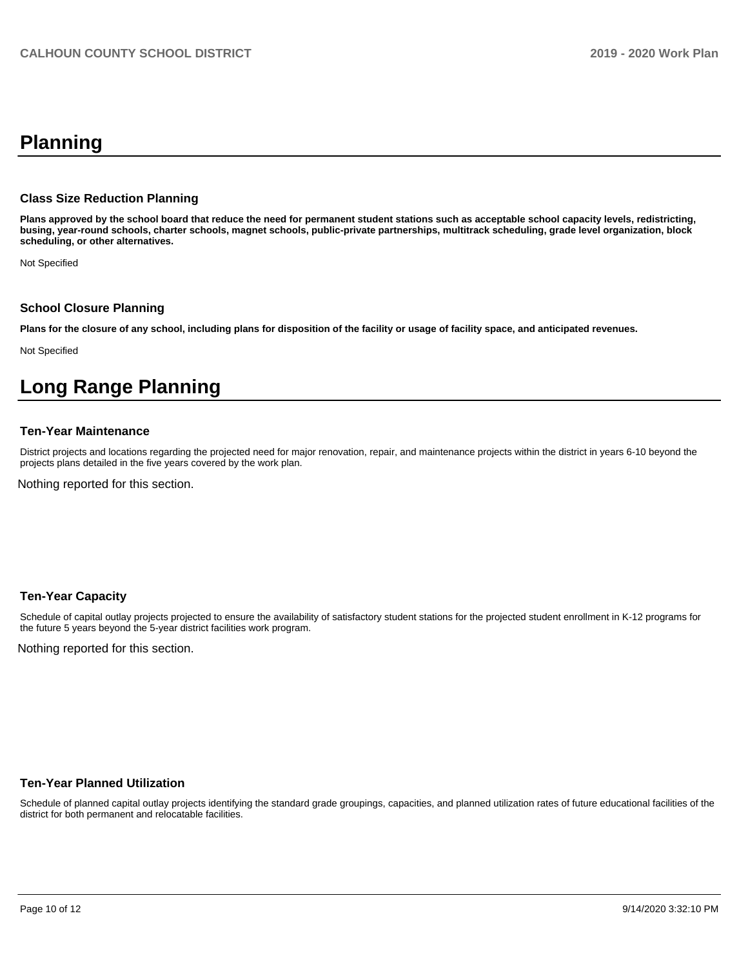# **Planning**

#### **Class Size Reduction Planning**

**Plans approved by the school board that reduce the need for permanent student stations such as acceptable school capacity levels, redistricting, busing, year-round schools, charter schools, magnet schools, public-private partnerships, multitrack scheduling, grade level organization, block scheduling, or other alternatives.**

Not Specified

#### **School Closure Planning**

**Plans for the closure of any school, including plans for disposition of the facility or usage of facility space, and anticipated revenues.** 

Not Specified

# **Long Range Planning**

#### **Ten-Year Maintenance**

District projects and locations regarding the projected need for major renovation, repair, and maintenance projects within the district in years 6-10 beyond the projects plans detailed in the five years covered by the work plan.

Nothing reported for this section.

#### **Ten-Year Capacity**

Schedule of capital outlay projects projected to ensure the availability of satisfactory student stations for the projected student enrollment in K-12 programs for the future 5 years beyond the 5-year district facilities work program.

Nothing reported for this section.

#### **Ten-Year Planned Utilization**

Schedule of planned capital outlay projects identifying the standard grade groupings, capacities, and planned utilization rates of future educational facilities of the district for both permanent and relocatable facilities.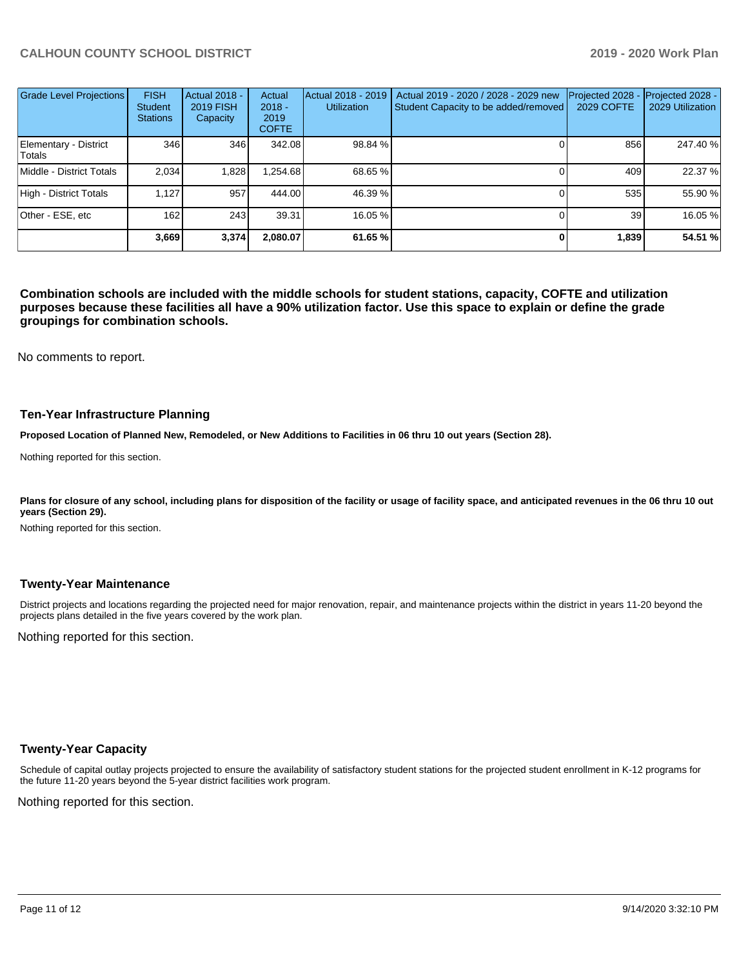| <b>Grade Level Projections</b>  | <b>FISH</b><br><b>Student</b><br><b>Stations</b> | Actual 2018 -<br><b>2019 FISH</b><br>Capacity | Actual<br>$2018 -$<br>2019<br><b>COFTE</b> | Actual 2018 - 2019<br><b>Utilization</b> | Actual 2019 - 2020 / 2028 - 2029 new<br>Student Capacity to be added/removed | Projected 2028<br>2029 COFTE | Projected 2028 -<br>2029 Utilization |
|---------------------------------|--------------------------------------------------|-----------------------------------------------|--------------------------------------------|------------------------------------------|------------------------------------------------------------------------------|------------------------------|--------------------------------------|
| Elementary - District<br>Totals | 346                                              | 346                                           | 342.08                                     | 98.84 %                                  |                                                                              | 856                          | 247.40 %                             |
| Middle - District Totals        | 2.034                                            | 1,828                                         | .254.68                                    | 68.65 %                                  |                                                                              | 409                          | 22.37 %                              |
| High - District Totals          | 1.127                                            | 957                                           | 444.00                                     | 46.39 %                                  |                                                                              | 535                          | 55.90 %                              |
| Other - ESE, etc                | 162                                              | 243                                           | 39.31                                      | 16.05 %                                  |                                                                              | 39                           | 16.05 %                              |
|                                 | 3,669                                            | 3,374                                         | 2,080.07                                   | 61.65 %                                  |                                                                              | 1,839                        | 54.51 %                              |

**Combination schools are included with the middle schools for student stations, capacity, COFTE and utilization purposes because these facilities all have a 90% utilization factor. Use this space to explain or define the grade groupings for combination schools.** 

No comments to report.

#### **Ten-Year Infrastructure Planning**

**Proposed Location of Planned New, Remodeled, or New Additions to Facilities in 06 thru 10 out years (Section 28).**

Nothing reported for this section.

Plans for closure of any school, including plans for disposition of the facility or usage of facility space, and anticipated revenues in the 06 thru 10 out **years (Section 29).**

Nothing reported for this section.

#### **Twenty-Year Maintenance**

District projects and locations regarding the projected need for major renovation, repair, and maintenance projects within the district in years 11-20 beyond the projects plans detailed in the five years covered by the work plan.

Nothing reported for this section.

#### **Twenty-Year Capacity**

Schedule of capital outlay projects projected to ensure the availability of satisfactory student stations for the projected student enrollment in K-12 programs for the future 11-20 years beyond the 5-year district facilities work program.